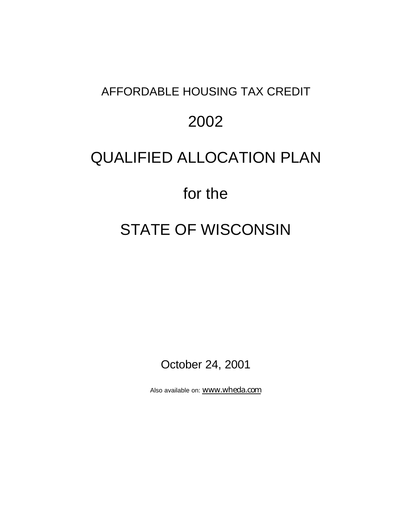## AFFORDABLE HOUSING TAX CREDIT

## 2002

## QUALIFIED ALLOCATION PLAN

# for the

# STATE OF WISCONSIN

October 24, 2001

Also available on: www.wheda.com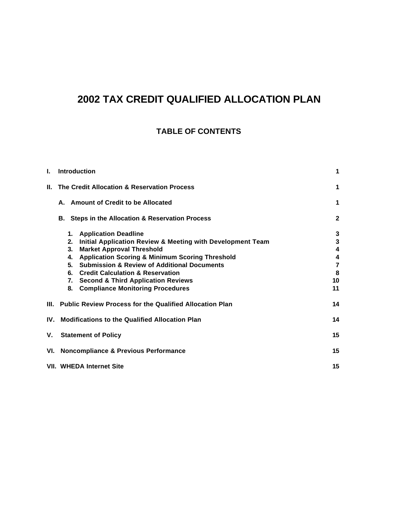## **2002 TAX CREDIT QUALIFIED ALLOCATION PLAN**

### **TABLE OF CONTENTS**

| L.    | <b>Introduction</b>                                              | 1                       |
|-------|------------------------------------------------------------------|-------------------------|
| II. I | The Credit Allocation & Reservation Process                      | $\mathbf 1$             |
|       | A. Amount of Credit to be Allocated                              | 1                       |
|       | B. Steps in the Allocation & Reservation Process                 | $\mathbf{2}$            |
|       | <b>Application Deadline</b><br>1.                                | 3                       |
|       | Initial Application Review & Meeting with Development Team<br>2. | 3                       |
|       | 3.<br><b>Market Approval Threshold</b>                           | $\overline{\mathbf{4}}$ |
|       | <b>Application Scoring &amp; Minimum Scoring Threshold</b><br>4. | 4                       |
|       | <b>Submission &amp; Review of Additional Documents</b><br>5.     | $\overline{\mathbf{r}}$ |
|       | <b>Credit Calculation &amp; Reservation</b><br>6.                | 8                       |
|       | <b>Second &amp; Third Application Reviews</b><br>7.              | 10                      |
|       | 8.<br><b>Compliance Monitoring Procedures</b>                    | 11                      |
|       | III. Public Review Process for the Qualified Allocation Plan     | 14                      |
|       | IV. Modifications to the Qualified Allocation Plan               | 14                      |
| ۷.    | <b>Statement of Policy</b>                                       | 15                      |
|       | VI. Noncompliance & Previous Performance                         | 15                      |
|       | <b>VII. WHEDA Internet Site</b>                                  | 15                      |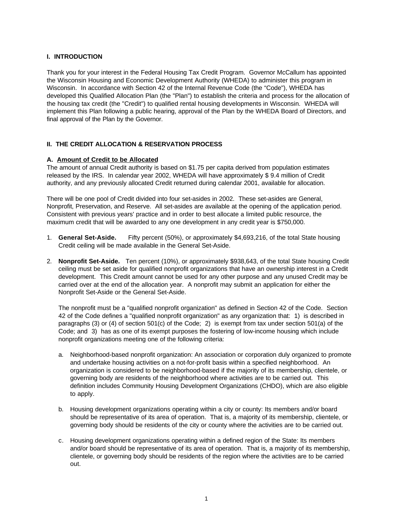### **I. INTRODUCTION**

Thank you for your interest in the Federal Housing Tax Credit Program. Governor McCallum has appointed the Wisconsin Housing and Economic Development Authority (WHEDA) to administer this program in Wisconsin. In accordance with Section 42 of the Internal Revenue Code (the "Code"), WHEDA has developed this Qualified Allocation Plan (the "Plan") to establish the criteria and process for the allocation of the housing tax credit (the "Credit") to qualified rental housing developments in Wisconsin. WHEDA will implement this Plan following a public hearing, approval of the Plan by the WHEDA Board of Directors, and final approval of the Plan by the Governor.

### **II. THE CREDIT ALLOCATION & RESERVATION PROCESS**

#### **A. Amount of Credit to be Allocated**

The amount of annual Credit authority is based on \$1.75 per capita derived from population estimates released by the IRS. In calendar year 2002, WHEDA will have approximately \$ 9.4 million of Credit authority, and any previously allocated Credit returned during calendar 2001, available for allocation.

There will be one pool of Credit divided into four set-asides in 2002. These set-asides are General, Nonprofit, Preservation, and Reserve. All set-asides are available at the opening of the application period. Consistent with previous years' practice and in order to best allocate a limited public resource, the maximum credit that will be awarded to any one development in any credit year is \$750,000.

- 1. **General Set-Aside.** Fifty percent (50%), or approximately \$4,693,216, of the total State housing Credit ceiling will be made available in the General Set-Aside.
- 2. **Nonprofit Set-Aside.** Ten percent (10%), or approximately \$938,643, of the total State housing Credit ceiling must be set aside for qualified nonprofit organizations that have an ownership interest in a Credit development. This Credit amount cannot be used for any other purpose and any unused Credit may be carried over at the end of the allocation year. A nonprofit may submit an application for either the Nonprofit Set-Aside or the General Set-Aside.

The nonprofit must be a "qualified nonprofit organization" as defined in Section 42 of the Code. Section 42 of the Code defines a "qualified nonprofit organization" as any organization that: 1) is described in paragraphs (3) or (4) of section 501(c) of the Code; 2) is exempt from tax under section 501(a) of the Code; and 3) has as one of its exempt purposes the fostering of low-income housing which include nonprofit organizations meeting one of the following criteria:

- a. Neighborhood-based nonprofit organization: An association or corporation duly organized to promote and undertake housing activities on a not-for-profit basis within a specified neighborhood. An organization is considered to be neighborhood-based if the majority of its membership, clientele, or governing body are residents of the neighborhood where activities are to be carried out. This definition includes Community Housing Development Organizations (CHDO), which are also eligible to apply.
- b. Housing development organizations operating within a city or county: Its members and/or board should be representative of its area of operation. That is, a majority of its membership, clientele, or governing body should be residents of the city or county where the activities are to be carried out.
- c. Housing development organizations operating within a defined region of the State: Its members and/or board should be representative of its area of operation. That is, a majority of its membership, clientele, or governing body should be residents of the region where the activities are to be carried out.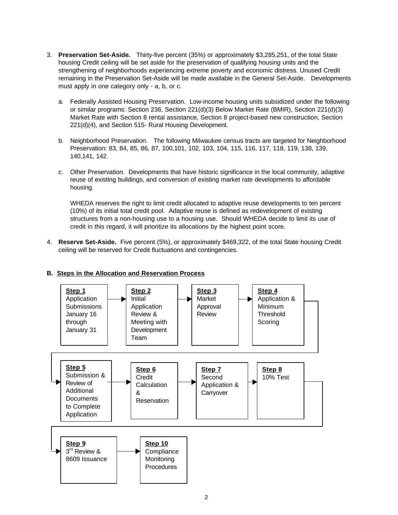- 3. **Preservation Set-Aside.** Thirty-five percent (35%) or approximately \$3,285,251, of the total State housing Credit ceiling will be set aside for the preservation of qualifying housing units and the strengthening of neighborhoods experiencing extreme poverty and economic distress. Unused Credit remaining in the Preservation Set-Aside will be made available in the General Set-Aside. Developments must apply in one category only - a, b, or c.
	- a. Federally Assisted Housing Preservation. Low-income housing units subsidized under the following or similar programs: Section 236, Section 221(d)(3) Below Market Rate (BMIR), Section 221(d)(3) Market Rate with Section 8 rental assistance, Section 8 project-based new construction, Section 221(d)(4), and Section 515- Rural Housing Development.
	- b. Neighborhood Preservation. The following Milwaukee census tracts are targeted for Neighborhood Preservation: 83, 84, 85, 86, 87, 100,101, 102, 103, 104, 115, 116, 117, 118, 119, 138, 139, 140,141, 142.
	- c. Other Preservation. Developments that have historic significance in the local community, adaptive reuse of existing buildings, and conversion of existing market rate developments to affordable housing.

WHEDA reserves the right to limit credit allocated to adaptive reuse developments to ten percent (10%) of its initial total credit pool. Adaptive reuse is defined as redevelopment of existing structures from a non-housing use to a housing use. Should WHEDA decide to limit its use of credit in this regard, it will prioritize its allocations by the highest point score.

4. **Reserve Set-Aside.** Five percent (5%), or approximately \$469,322, of the total State housing Credit ceiling will be reserved for Credit fluctuations and contingencies.



### **B. Steps in the Allocation and Reservation Process**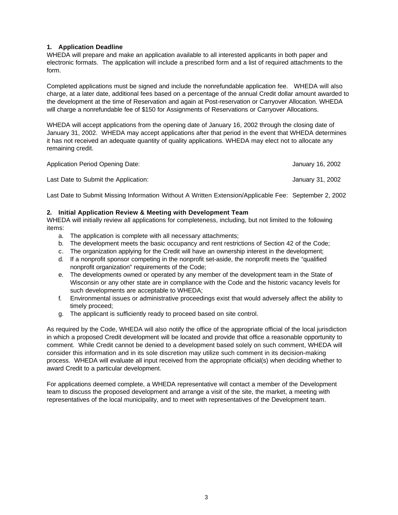### **1. Application Deadline**

WHEDA will prepare and make an application available to all interested applicants in both paper and electronic formats. The application will include a prescribed form and a list of required attachments to the form.

Completed applications must be signed and include the nonrefundable application fee. WHEDA will also charge, at a later date, additional fees based on a percentage of the annual Credit dollar amount awarded to the development at the time of Reservation and again at Post-reservation or Carryover Allocation. WHEDA will charge a nonrefundable fee of \$150 for Assignments of Reservations or Carryover Allocations.

WHEDA will accept applications from the opening date of January 16, 2002 through the closing date of January 31, 2002. WHEDA may accept applications after that period in the event that WHEDA determines it has not received an adequate quantity of quality applications. WHEDA may elect not to allocate any remaining credit.

| Application Period Opening Date:     | January 16, 2002 |
|--------------------------------------|------------------|
| Last Date to Submit the Application: | January 31, 2002 |

Last Date to Submit Missing Information Without A Written Extension/Applicable Fee: September 2, 2002

#### **2. Initial Application Review & Meeting with Development Team**

WHEDA will initially review all applications for completeness, including, but not limited to the following items:

- a. The application is complete with all necessary attachments;
- b. The development meets the basic occupancy and rent restrictions of Section 42 of the Code;
- c. The organization applying for the Credit will have an ownership interest in the development;
- d. If a nonprofit sponsor competing in the nonprofit set-aside, the nonprofit meets the "qualified nonprofit organization" requirements of the Code;
- e. The developments owned or operated by any member of the development team in the State of Wisconsin or any other state are in compliance with the Code and the historic vacancy levels for such developments are acceptable to WHEDA;
- f. Environmental issues or administrative proceedings exist that would adversely affect the ability to timely proceed;
- g. The applicant is sufficiently ready to proceed based on site control.

As required by the Code, WHEDA will also notify the office of the appropriate official of the local jurisdiction in which a proposed Credit development will be located and provide that office a reasonable opportunity to comment. While Credit cannot be denied to a development based solely on such comment, WHEDA will consider this information and in its sole discretion may utilize such comment in its decision-making process. WHEDA will evaluate all input received from the appropriate official(s) when deciding whether to award Credit to a particular development.

For applications deemed complete, a WHEDA representative will contact a member of the Development team to discuss the proposed development and arrange a visit of the site, the market, a meeting with representatives of the local municipality, and to meet with representatives of the Development team.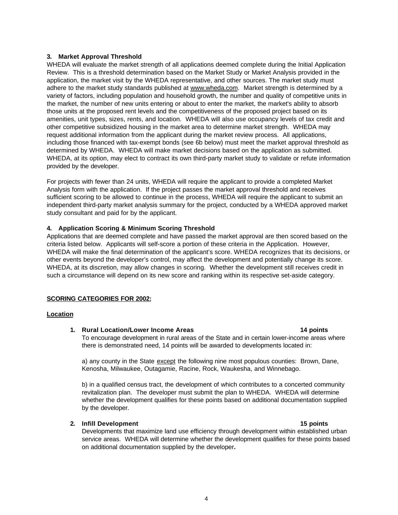#### **3. Market Approval Threshold**

WHEDA will evaluate the market strength of all applications deemed complete during the Initial Application Review. This is a threshold determination based on the Market Study or Market Analysis provided in the application, the market visit by the WHEDA representative, and other sources. The market study must adhere to the market study standards published at www.wheda.com. Market strength is determined by a variety of factors, including population and household growth, the number and quality of competitive units in the market, the number of new units entering or about to enter the market, the market's ability to absorb those units at the proposed rent levels and the competitiveness of the proposed project based on its amenities, unit types, sizes, rents, and location. WHEDA will also use occupancy levels of tax credit and other competitive subsidized housing in the market area to determine market strength. WHEDA may request additional information from the applicant during the market review process. All applications, including those financed with tax-exempt bonds (see 6b below) must meet the market approval threshold as determined by WHEDA. WHEDA will make market decisions based on the application as submitted. WHEDA, at its option, may elect to contract its own third-party market study to validate or refute information provided by the developer.

For projects with fewer than 24 units, WHEDA will require the applicant to provide a completed Market Analysis form with the application. If the project passes the market approval threshold and receives sufficient scoring to be allowed to continue in the process, WHEDA will require the applicant to submit an independent third-party market analysis summary for the project, conducted by a WHEDA approved market study consultant and paid for by the applicant.

### **4. Application Scoring & Minimum Scoring Threshold**

Applications that are deemed complete and have passed the market approval are then scored based on the criteria listed below. Applicants will self-score a portion of these criteria in the Application. However, WHEDA will make the final determination of the applicant's score. WHEDA recognizes that its decisions, or other events beyond the developer's control, may affect the development and potentially change its score. WHEDA, at its discretion, may allow changes in scoring. Whether the development still receives credit in such a circumstance will depend on its new score and ranking within its respective set-aside category.

### **SCORING CATEGORIES FOR 2002:**

#### **Location**

#### **1. Rural Location/Lower Income Areas 14 points**

To encourage development in rural areas of the State and in certain lower-income areas where there is demonstrated need, 14 points will be awarded to developments located in:

a) any county in the State except the following nine most populous counties: Brown, Dane, Kenosha, Milwaukee, Outagamie, Racine, Rock, Waukesha, and Winnebago.

b) in a qualified census tract, the development of which contributes to a concerted community revitalization plan. The developer must submit the plan to WHEDA. WHEDA will determine whether the development qualifies for these points based on additional documentation supplied by the developer.

### **2. Infill Development 15 points**

Developments that maximize land use efficiency through development within established urban service areas. WHEDA will determine whether the development qualifies for these points based on additional documentation supplied by the developer**.**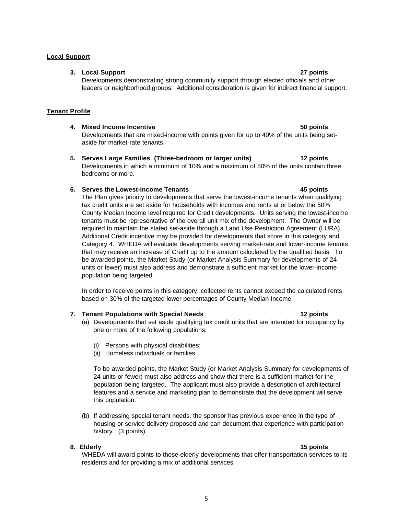#### **Local Support**

#### **3. Local Support 27 points**

Developments demonstrating strong community support through elected officials and other leaders or neighborhood groups. Additional consideration is given for indirect financial support.

#### **Tenant Profile**

### **4. Mixed Income Incentive 50 points** Developments that are mixed-income with points given for up to 40% of the units being setaside for market-rate tenants.

#### **5. Serves Large Families (Three-bedroom or larger units) 12 points** Developments in which a minimum of 10% and a maximum of 50% of the units contain three bedrooms or more.

### **6. Serves the Lowest-Income Tenants 45 points**

The Plan gives priority to developments that serve the lowest-income tenants when qualifying tax credit units are set aside for households with incomes and rents at or below the 50% County Median Income level required for Credit developments. Units serving the lowest-income tenants must be representative of the overall unit mix of the development. The Owner will be required to maintain the stated set-aside through a Land Use Restriction Agreement (LURA). Additional Credit incentive may be provided for developments that score in this category and Category 4. WHEDA will evaluate developments serving market-rate and lower-income tenants that may receive an increase of Credit up to the amount calculated by the qualified basis. To be awarded points, the Market Study (or Market Analysis Summary for developments of 24 units or fewer) must also address and demonstrate a sufficient market for the lower-income population being targeted.

In order to receive points in this category, collected rents cannot exceed the calculated rents based on 30% of the targeted lower percentages of County Median Income.

#### **7. Tenant Populations with Special Needs 12 points**

- (a) Developments that set aside qualifying tax credit units that are intended for occupancy by one or more of the following populations:
	- (i) Persons with physical disabilities;
	- (ii) Homeless individuals or families.

To be awarded points, the Market Study (or Market Analysis Summary for developments of 24 units or fewer) must also address and show that there is a sufficient market for the population being targeted. The applicant must also provide a description of architectural features and a service and marketing plan to demonstrate that the development will serve this population.

(b) If addressing special tenant needs, the sponsor has previous experience in the type of housing or service delivery proposed and can document that experience with participation history. (3 points)

### **8. Elderly 15 points**

WHEDA will award points to those elderly developments that offer transportation services to its residents and for providing a mix of additional services.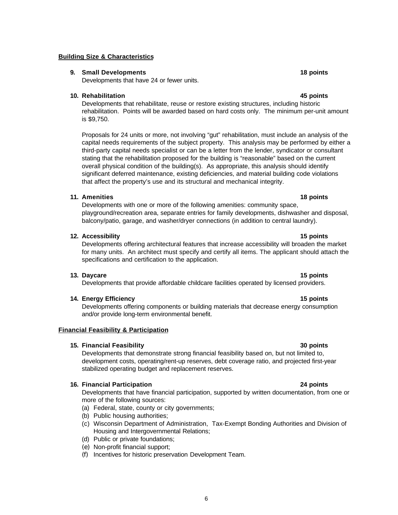### **Building Size & Characteristics**

### **9. Small Developments 18 points**

Developments that have 24 or fewer units.

### **10. Rehabilitation 45 points**

Developments that rehabilitate, reuse or restore existing structures, including historic rehabilitation. Points will be awarded based on hard costs only. The minimum per-unit amount is \$9,750.

Proposals for 24 units or more, not involving "gut" rehabilitation, must include an analysis of the capital needs requirements of the subject property. This analysis may be performed by either a third-party capital needs specialist or can be a letter from the lender, syndicator or consultant stating that the rehabilitation proposed for the building is "reasonable" based on the current overall physical condition of the building(s). As appropriate, this analysis should identify significant deferred maintenance, existing deficiencies, and material building code violations that affect the property's use and its structural and mechanical integrity.

#### **11. Amenities 18 points**

Developments with one or more of the following amenities: community space, playground/recreation area, separate entries for family developments, dishwasher and disposal, balcony/patio, garage, and washer/dryer connections (in addition to central laundry).

#### **12. Accessibility 15 points**

Developments offering architectural features that increase accessibility will broaden the market for many units. An architect must specify and certify all items. The applicant should attach the specifications and certification to the application.

#### **13. Daycare 15 points**

Developments that provide affordable childcare facilities operated by licensed providers.

#### **14. Energy Efficiency 15 points**

Developments offering components or building materials that decrease energy consumption and/or provide long-term environmental benefit.

#### **Financial Feasibility & Participation**

#### **15. Financial Feasibility 30 points**

Developments that demonstrate strong financial feasibility based on, but not limited to, development costs, operating/rent-up reserves, debt coverage ratio, and projected first-year stabilized operating budget and replacement reserves.

#### **16. Financial Participation 24 points**

Developments that have financial participation, supported by written documentation, from one or more of the following sources:

- (a) Federal, state, county or city governments;
- (b) Public housing authorities;
- (c) Wisconsin Department of Administration, Tax-Exempt Bonding Authorities and Division of Housing and Intergovernmental Relations;
- (d) Public or private foundations;
- (e) Non-profit financial support;
- (f) Incentives for historic preservation Development Team.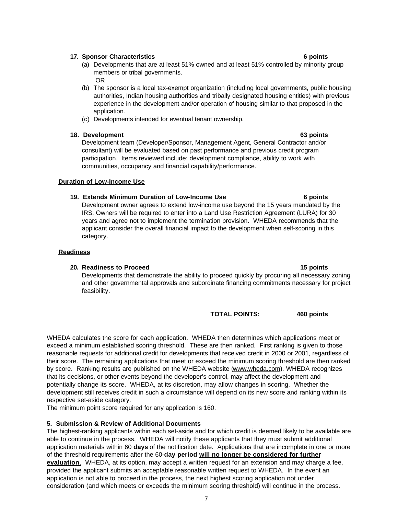### **17. Sponsor Characteristics 6 points**

- (a) Developments that are at least 51% owned and at least 51% controlled by minority group members or tribal governments. OR
- (b) The sponsor is a local tax-exempt organization (including local governments, public housing authorities, Indian housing authorities and tribally designated housing entities) with previous experience in the development and/or operation of housing similar to that proposed in the application.
- (c) Developments intended for eventual tenant ownership.

#### **18. Development 63 points**

Development team (Developer/Sponsor, Management Agent, General Contractor and/or consultant) will be evaluated based on past performance and previous credit program participation. Items reviewed include: development compliance, ability to work with communities, occupancy and financial capability/performance.

#### **Duration of Low-Income Use**

#### **19. Extends Minimum Duration of Low-Income Use 6 points**

Development owner agrees to extend low-income use beyond the 15 years mandated by the IRS. Owners will be required to enter into a Land Use Restriction Agreement (LURA) for 30 years and agree not to implement the termination provision. WHEDA recommends that the applicant consider the overall financial impact to the development when self-scoring in this category.

#### **Readiness**

#### **20. Readiness to Proceed 15 points**

Developments that demonstrate the ability to proceed quickly by procuring all necessary zoning and other governmental approvals and subordinate financing commitments necessary for project feasibility.

**TOTAL POINTS: 460 points**

WHEDA calculates the score for each application. WHEDA then determines which applications meet or exceed a minimum established scoring threshold. These are then ranked. First ranking is given to those reasonable requests for additional credit for developments that received credit in 2000 or 2001, regardless of their score. The remaining applications that meet or exceed the minimum scoring threshold are then ranked by score. Ranking results are published on the WHEDA website (www.wheda.com). WHEDA recognizes that its decisions, or other events beyond the developer's control, may affect the development and potentially change its score. WHEDA, at its discretion, may allow changes in scoring. Whether the development still receives credit in such a circumstance will depend on its new score and ranking within its respective set-aside category.

The minimum point score required for any application is 160.

#### **5. Submission & Review of Additional Documents**

The highest-ranking applicants within each set-aside and for which credit is deemed likely to be available are able to continue in the process. WHEDA will notify these applicants that they must submit additional application materials within 60 **days** of the notification date. Applications that are incomplete in one or more of the threshold requirements after the 60-**day period will no longer be considered for further evaluation**. WHEDA, at its option, may accept a written request for an extension and may charge a fee, provided the applicant submits an acceptable reasonable written request to WHEDA. In the event an application is not able to proceed in the process, the next highest scoring application not under consideration (and which meets or exceeds the minimum scoring threshold) will continue in the process.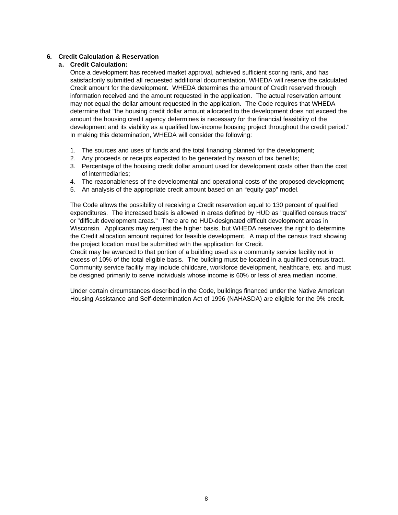### **6. Credit Calculation & Reservation**

### **a. Credit Calculation:**

Once a development has received market approval, achieved sufficient scoring rank, and has satisfactorily submitted all requested additional documentation, WHEDA will reserve the calculated Credit amount for the development. WHEDA determines the amount of Credit reserved through information received and the amount requested in the application. The actual reservation amount may not equal the dollar amount requested in the application. The Code requires that WHEDA determine that "the housing credit dollar amount allocated to the development does not exceed the amount the housing credit agency determines is necessary for the financial feasibility of the development and its viability as a qualified low-income housing project throughout the credit period." In making this determination, WHEDA will consider the following:

- 1. The sources and uses of funds and the total financing planned for the development;
- 2. Any proceeds or receipts expected to be generated by reason of tax benefits;
- 3. Percentage of the housing credit dollar amount used for development costs other than the cost of intermediaries;
- 4. The reasonableness of the developmental and operational costs of the proposed development;
- 5. An analysis of the appropriate credit amount based on an "equity gap" model.

The Code allows the possibility of receiving a Credit reservation equal to 130 percent of qualified expenditures. The increased basis is allowed in areas defined by HUD as "qualified census tracts" or "difficult development areas." There are no HUD-designated difficult development areas in Wisconsin. Applicants may request the higher basis, but WHEDA reserves the right to determine the Credit allocation amount required for feasible development. A map of the census tract showing the project location must be submitted with the application for Credit.

Credit may be awarded to that portion of a building used as a community service facility not in excess of 10% of the total eligible basis. The building must be located in a qualified census tract. Community service facility may include childcare, workforce development, healthcare, etc. and must be designed primarily to serve individuals whose income is 60% or less of area median income.

Under certain circumstances described in the Code, buildings financed under the Native American Housing Assistance and Self-determination Act of 1996 (NAHASDA) are eligible for the 9% credit.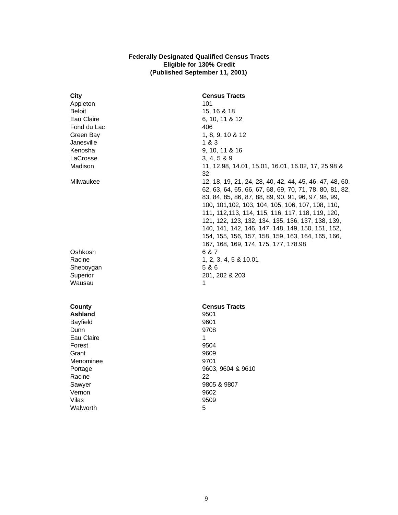#### **Federally Designated Qualified Census Tracts Eligible for 130% Credit (Published September 11, 2001)**

| <b>City</b>    | <b>Census Tracts</b>                                                                                                                                                                                                                                                                                                                                                                                                                               |
|----------------|----------------------------------------------------------------------------------------------------------------------------------------------------------------------------------------------------------------------------------------------------------------------------------------------------------------------------------------------------------------------------------------------------------------------------------------------------|
| Appleton       | 101                                                                                                                                                                                                                                                                                                                                                                                                                                                |
| <b>Beloit</b>  | 15, 16 & 18                                                                                                                                                                                                                                                                                                                                                                                                                                        |
| Eau Claire     | 6, 10, 11 & 12                                                                                                                                                                                                                                                                                                                                                                                                                                     |
| Fond du Lac    | 406                                                                                                                                                                                                                                                                                                                                                                                                                                                |
| Green Bay      | 1, 8, 9, 10 & 12                                                                                                                                                                                                                                                                                                                                                                                                                                   |
| Janesville     | 1&3                                                                                                                                                                                                                                                                                                                                                                                                                                                |
| Kenosha        | 9, 10, 11 & 16                                                                                                                                                                                                                                                                                                                                                                                                                                     |
| LaCrosse       | 3, 4, 5 & 89                                                                                                                                                                                                                                                                                                                                                                                                                                       |
| Madison        | 11, 12.98, 14.01, 15.01, 16.01, 16.02, 17, 25.98 &<br>32                                                                                                                                                                                                                                                                                                                                                                                           |
| Milwaukee      | 12, 18, 19, 21, 24, 28, 40, 42, 44, 45, 46, 47, 48, 60,<br>62, 63, 64, 65, 66, 67, 68, 69, 70, 71, 78, 80, 81, 82,<br>83, 84, 85, 86, 87, 88, 89, 90, 91, 96, 97, 98, 99,<br>100, 101, 102, 103, 104, 105, 106, 107, 108, 110,<br>111, 112, 113, 114, 115, 116, 117, 118, 119, 120,<br>121, 122, 123, 132, 134, 135, 136, 137, 138, 139,<br>140, 141, 142, 146, 147, 148, 149, 150, 151, 152,<br>154, 155, 156, 157, 158, 159, 163, 164, 165, 166, |
|                | 167, 168, 169, 174, 175, 177, 178.98                                                                                                                                                                                                                                                                                                                                                                                                               |
| Oshkosh        | 6 & 7                                                                                                                                                                                                                                                                                                                                                                                                                                              |
| Racine         | 1, 2, 3, 4, 5 & 10.01                                                                                                                                                                                                                                                                                                                                                                                                                              |
| Sheboygan      | 5 & 6                                                                                                                                                                                                                                                                                                                                                                                                                                              |
| Superior       | 201, 202 & 203                                                                                                                                                                                                                                                                                                                                                                                                                                     |
| Wausau         | 1                                                                                                                                                                                                                                                                                                                                                                                                                                                  |
| County         | <b>Census Tracts</b>                                                                                                                                                                                                                                                                                                                                                                                                                               |
| <b>Ashland</b> | 9501                                                                                                                                                                                                                                                                                                                                                                                                                                               |
| Bayfield       | 9601                                                                                                                                                                                                                                                                                                                                                                                                                                               |
| Dunn           | 9708                                                                                                                                                                                                                                                                                                                                                                                                                                               |
| Eau Claire     | 1                                                                                                                                                                                                                                                                                                                                                                                                                                                  |
| Forest         | 9504                                                                                                                                                                                                                                                                                                                                                                                                                                               |
| Grant          | 9609                                                                                                                                                                                                                                                                                                                                                                                                                                               |
| Menominee      | 9701                                                                                                                                                                                                                                                                                                                                                                                                                                               |
| Portage        | 9603, 9604 & 9610                                                                                                                                                                                                                                                                                                                                                                                                                                  |
| Racine         | 22                                                                                                                                                                                                                                                                                                                                                                                                                                                 |
| Sawyer         | 9805 & 9807                                                                                                                                                                                                                                                                                                                                                                                                                                        |
| Vernon         | 9602                                                                                                                                                                                                                                                                                                                                                                                                                                               |
| Vilas          | 9509                                                                                                                                                                                                                                                                                                                                                                                                                                               |
| Walworth       | 5                                                                                                                                                                                                                                                                                                                                                                                                                                                  |
|                |                                                                                                                                                                                                                                                                                                                                                                                                                                                    |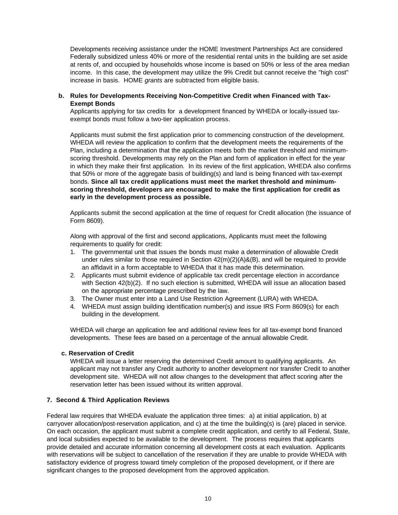Developments receiving assistance under the HOME Investment Partnerships Act are considered Federally subsidized unless 40% or more of the residential rental units in the building are set aside at rents of, and occupied by households whose income is based on 50% or less of the area median income. In this case, the development may utilize the 9% Credit but cannot receive the "high cost" increase in basis. HOME *grants* are subtracted from eligible basis.

#### **b. Rules for Developments Receiving Non-Competitive Credit when Financed with Tax-Exempt Bonds**

Applicants applying for tax credits for a development financed by WHEDA or locally-issued taxexempt bonds must follow a two-tier application process.

Applicants must submit the first application prior to commencing construction of the development. WHEDA will review the application to confirm that the development meets the requirements of the Plan, including a determination that the application meets both the market threshold and minimumscoring threshold. Developments may rely on the Plan and form of application in effect for the year in which they make their first application. In its review of the first application, WHEDA also confirms that 50% or more of the aggregate basis of building(s) and land is being financed with tax-exempt bonds. **Since all tax credit applications must meet the market threshold and minimumscoring threshold, developers are encouraged to make the first application for credit as early in the development process as possible.**

Applicants submit the second application at the time of request for Credit allocation (the issuance of Form 8609).

Along with approval of the first and second applications, Applicants must meet the following requirements to qualify for credit:

- 1. The governmental unit that issues the bonds must make a determination of allowable Credit under rules similar to those required in Section 42(m)(2)(A)&(B), and will be required to provide an affidavit in a form acceptable to WHEDA that it has made this determination.
- 2. Applicants must submit evidence of applicable tax credit percentage election in accordance with Section 42(b)(2). If no such election is submitted, WHEDA will issue an allocation based on the appropriate percentage prescribed by the law.
- 3. The Owner must enter into a Land Use Restriction Agreement (LURA) with WHEDA.
- 4. WHEDA must assign building identification number(s) and issue IRS Form 8609(s) for each building in the development.

WHEDA will charge an application fee and additional review fees for all tax-exempt bond financed developments. These fees are based on a percentage of the annual allowable Credit.

#### **c. Reservation of Credit**

WHEDA will issue a letter reserving the determined Credit amount to qualifying applicants. An applicant may not transfer any Credit authority to another development nor transfer Credit to another development site. WHEDA will not allow changes to the development that affect scoring after the reservation letter has been issued without its written approval.

#### **7. Second & Third Application Reviews**

Federal law requires that WHEDA evaluate the application three times: a) at initial application, b) at carryover allocation/post-reservation application, and c) at the time the building(s) is (are) placed in service. On each occasion, the applicant must submit a complete credit application, and certify to all Federal, State, and local subsidies expected to be available to the development. The process requires that applicants provide detailed and accurate information concerning all development costs at each evaluation. Applicants with reservations will be subject to cancellation of the reservation if they are unable to provide WHEDA with satisfactory evidence of progress toward timely completion of the proposed development, or if there are significant changes to the proposed development from the approved application.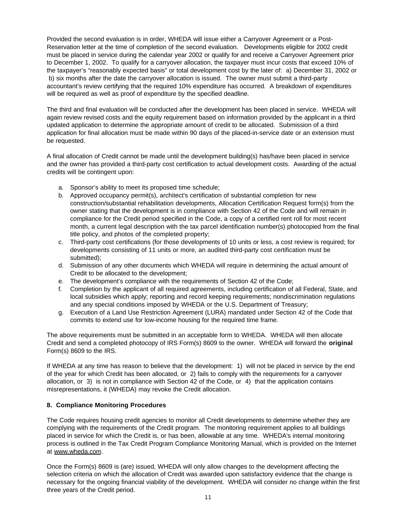Provided the second evaluation is in order, WHEDA will issue either a Carryover Agreement or a Post-Reservation letter at the time of completion of the second evaluation. Developments eligible for 2002 credit must be placed in service during the calendar year 2002 or qualify for and receive a Carryover Agreement prior to December 1, 2002. To qualify for a carryover allocation, the taxpayer must incur costs that exceed 10% of the taxpayer's "reasonably expected basis" or total development cost by the later of: a) December 31, 2002 or b) six months after the date the carryover allocation is issued. The owner must submit a third-party accountant's review certifying that the required 10% expenditure has occurred. A breakdown of expenditures will be required as well as proof of expenditure by the specified deadline.

The third and final evaluation will be conducted after the development has been placed in service. WHEDA will again review revised costs and the equity requirement based on information provided by the applicant in a third updated application to determine the appropriate amount of credit to be allocated. Submission of a third application for final allocation must be made within 90 days of the placed-in-service date or an extension must be requested.

A final allocation of Credit cannot be made until the development building(s) has/have been placed in service and the owner has provided a third-party cost certification to actual development costs. Awarding of the actual credits will be contingent upon:

- a. Sponsor's ability to meet its proposed time schedule;
- b. Approved occupancy permit(s), architect's certification of substantial completion for new construction/substantial rehabilitation developments, Allocation Certification Request form(s) from the owner stating that the development is in compliance with Section 42 of the Code and will remain in compliance for the Credit period specified in the Code, a copy of a certified rent roll for most recent month, a current legal description with the tax parcel identification number(s) photocopied from the final title policy, and photos of the completed property;
- c. Third-party cost certifications (for those developments of 10 units or less, a cost review is required; for developments consisting of 11 units or more, an audited third-party cost certification must be submitted);
- d. Submission of any other documents which WHEDA will require in determining the actual amount of Credit to be allocated to the development;
- e. The development's compliance with the requirements of Section 42 of the Code;
- f. Completion by the applicant of all required agreements, including certification of all Federal, State, and local subsidies which apply; reporting and record keeping requirements; nondiscrimination regulations and any special conditions imposed by WHEDA or the U.S. Department of Treasury;
- g. Execution of a Land Use Restriction Agreement (LURA) mandated under Section 42 of the Code that commits to extend use for low-income housing for the required time frame.

The above requirements must be submitted in an acceptable form to WHEDA. WHEDA will then allocate Credit and send a completed photocopy of IRS Form(s) 8609 to the owner. WHEDA will forward the **original** Form(s) 8609 to the IRS.

If WHEDA at any time has reason to believe that the development: 1) will not be placed in service by the end of the year for which Credit has been allocated, or 2) fails to comply with the requirements for a carryover allocation, or 3) is not in compliance with Section 42 of the Code, or 4) that the application contains misrepresentations, it (WHEDA) may revoke the Credit allocation.

#### **8. Compliance Monitoring Procedures**

The Code requires housing credit agencies to monitor all Credit developments to determine whether they are complying with the requirements of the Credit program. The monitoring requirement applies to all buildings placed in service for which the Credit is, or has been, allowable at any time. WHEDA's internal monitoring process is outlined in the Tax Credit Program Compliance Monitoring Manual, which is provided on the Internet at www.wheda.com.

Once the Form(s) 8609 is (are) issued, WHEDA will only allow changes to the development affecting the selection criteria on which the allocation of Credit was awarded upon satisfactory evidence that the change is necessary for the ongoing financial viability of the development. WHEDA will consider no change within the first three years of the Credit period.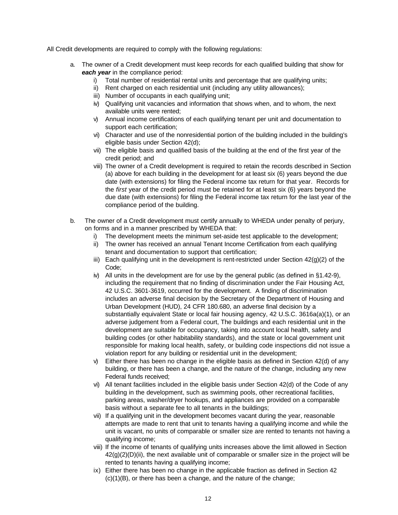All Credit developments are required to comply with the following regulations:

- a. The owner of a Credit development must keep records for each qualified building that show for *each year* in the compliance period:
	- i) Total number of residential rental units and percentage that are qualifying units;
	- ii) Rent charged on each residential unit (including any utility allowances);
	- iii) Number of occupants in each qualifying unit;
	- iv) Qualifying unit vacancies and information that shows when, and to whom, the next available units were rented;
	- v) Annual income certifications of each qualifying tenant per unit and documentation to support each certification;
	- vi) Character and use of the nonresidential portion of the building included in the building's eligible basis under Section 42(d);
	- vii) The eligible basis and qualified basis of the building at the end of the first year of the credit period; and
	- viii) The owner of a Credit development is required to retain the records described in Section (a) above for each building in the development for at least six (6) years beyond the due date (with extensions) for filing the Federal income tax return for that year. Records for the *first* year of the credit period must be retained for at least six (6) years beyond the due date (with extensions) for filing the Federal income tax return for the last year of the compliance period of the building.
- b. The owner of a Credit development must certify annually to WHEDA under penalty of perjury, on forms and in a manner prescribed by WHEDA that:
	- i) The development meets the minimum set-aside test applicable to the development;
	- ii) The owner has received an annual Tenant Income Certification from each qualifying tenant and documentation to support that certification;
	- iii) Each qualifying unit in the development is rent-restricted under Section  $42(q)(2)$  of the Code;
	- iv) All units in the development are for use by the general public (as defined in §1.42-9), including the requirement that no finding of discrimination under the Fair Housing Act, 42 U.S.C. 3601-3619, occurred for the development. A finding of discrimination includes an adverse final decision by the Secretary of the Department of Housing and Urban Development (HUD), 24 CFR 180.680, an adverse final decision by a substantially equivalent State or local fair housing agency, 42 U.S.C. 3616a(a)(1), or an adverse judgement from a Federal court, The buildings and each residential unit in the development are suitable for occupancy, taking into account local health, safety and building codes (or other habitability standards), and the state or local government unit responsible for making local health, safety, or building code inspections did not issue a violation report for any building or residential unit in the development;
	- v) Either there has been no change in the eligible basis as defined in Section 42(d) of any building, or there has been a change, and the nature of the change, including any new Federal funds received;
	- vi) All tenant facilities included in the eligible basis under Section 42(d) of the Code of any building in the development, such as swimming pools, other recreational facilities, parking areas, washer/dryer hookups, and appliances are provided on a comparable basis without a separate fee to all tenants in the buildings;
	- vii) If a qualifying unit in the development becomes vacant during the year, reasonable attempts are made to rent that unit to tenants having a qualifying income and while the unit is vacant, no units of comparable or smaller size are rented to tenants not having a qualifying income;
	- viii) If the income of tenants of qualifying units increases above the limit allowed in Section  $42(q)(2)(D)(ii)$ , the next available unit of comparable or smaller size in the project will be rented to tenants having a qualifying income;
	- ix) Either there has been no change in the applicable fraction as defined in Section 42 (c)(1)(B), or there has been a change, and the nature of the change;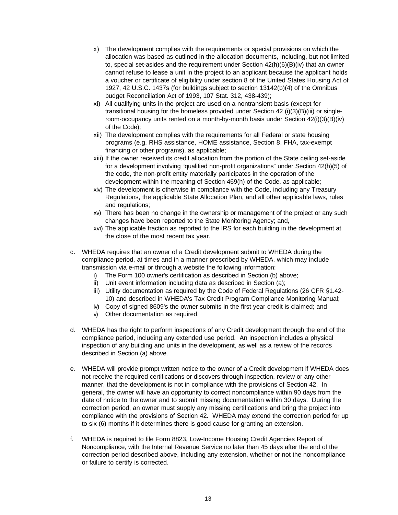- x) The development complies with the requirements or special provisions on which the allocation was based as outlined in the allocation documents, including, but not limited to, special set-asides and the requirement under Section 42(h)(6)(B)(iv) that an owner cannot refuse to lease a unit in the project to an applicant because the applicant holds a voucher or certificate of eligibility under section 8 of the United States Housing Act of 1927, 42 U.S.C. 1437s (for buildings subject to section 13142(b)(4) of the Omnibus budget Reconciliation Act of 1993, 107 Stat. 312, 438-439);
- xi) All qualifying units in the project are used on a nontransient basis (except for transitional housing for the homeless provided under Section 42 (i)(3)(B)(iii) or singleroom-occupancy units rented on a month-by-month basis under Section 42(i)(3)(B)(iv) of the Code);
- xii) The development complies with the requirements for all Federal or state housing programs (e.g. RHS assistance, HOME assistance, Section 8, FHA, tax-exempt financing or other programs), as applicable;
- xiii) If the owner received its credit allocation from the portion of the State ceiling set-aside for a development involving "qualified non-profit organizations" under Section 42(h)(5) of the code, the non-profit entity materially participates in the operation of the development within the meaning of Section 469(h) of the Code, as applicable;
- xiv) The development is otherwise in compliance with the Code, including any Treasury Regulations, the applicable State Allocation Plan, and all other applicable laws, rules and regulations;
- xv) There has been no change in the ownership or management of the project or any such changes have been reported to the State Monitoring Agency; and,
- xvi) The applicable fraction as reported to the IRS for each building in the development at the close of the most recent tax year.
- c. WHEDA requires that an owner of a Credit development submit to WHEDA during the compliance period, at times and in a manner prescribed by WHEDA, which may include transmission via e-mail or through a website the following information:
	- i) The Form 100 owner's certification as described in Section (b) above;
	- ii) Unit event information including data as described in Section (a);
	- iii) Utility documentation as required by the Code of Federal Regulations (26 CFR §1.42- 10) and described in WHEDA's Tax Credit Program Compliance Monitoring Manual;
	- iv) Copy of signed 8609's the owner submits in the first year credit is claimed; and
	- v) Other documentation as required.
- d. WHEDA has the right to perform inspections of any Credit development through the end of the compliance period, including any extended use period. An inspection includes a physical inspection of any building and units in the development, as well as a review of the records described in Section (a) above.
- e. WHEDA will provide prompt written notice to the owner of a Credit development if WHEDA does not receive the required certifications or discovers through inspection, review or any other manner, that the development is not in compliance with the provisions of Section 42. In general, the owner will have an opportunity to correct noncompliance within 90 days from the date of notice to the owner and to submit missing documentation within 30 days. During the correction period, an owner must supply any missing certifications and bring the project into compliance with the provisions of Section 42. WHEDA may extend the correction period for up to six (6) months if it determines there is good cause for granting an extension.
- f. WHEDA is required to file Form 8823, Low-Income Housing Credit Agencies Report of Noncompliance, with the Internal Revenue Service no later than 45 days after the end of the correction period described above, including any extension, whether or not the noncompliance or failure to certify is corrected.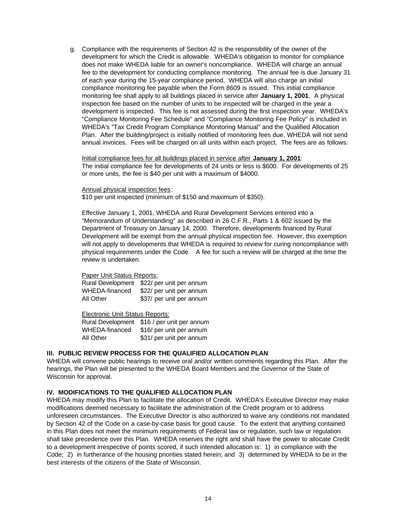g. Compliance with the requirements of Section 42 is the responsibility of the owner of the development for which the Credit is allowable. WHEDA's obligation to monitor for compliance does not make WHEDA liable for an owner's noncompliance. WHEDA will charge an annual fee to the development for conducting compliance monitoring. The annual fee is due January 31 of each year during the 15-year compliance period. WHEDA will also charge an initial compliance monitoring fee payable when the Form 8609 is issued. This initial compliance monitoring fee shall apply to all buildings placed in service after **January 1, 2001**. A physical inspection fee based on the number of units to be inspected will be charged in the year a development is inspected. This fee is not assessed during the first inspection year. WHEDA's "Compliance Monitoring Fee Schedule" and "Compliance Monitoring Fee Policy" is included in WHEDA's "Tax Credit Program Compliance Monitoring Manual" and the Qualified Allocation Plan. After the building/project is initially notified of monitoring fees due, WHEDA will not send annual invoices. Fees will be charged on all units within each project. The fees are as follows:

Initial compliance fees for all buildings placed in service after **January 1, 2001**: The initial compliance fee for developments of 24 units or less is \$600. For developments of 25 or more units, the fee is \$40 per unit with a maximum of \$4000.

Annual physical inspection fees:

\$10 per unit inspected (minimum of \$150 and maximum of \$350).

Effective January 1, 2001, WHEDA and Rural Development Services entered into a "Memorandum of Understanding" as described in 26 C.F.R., Parts 1 & 602 issued by the Department of Treasury on January 14, 2000. Therefore, developments financed by Rural Development will be exempt from the annual physical inspection fee. However, this exemption will not apply to developments that WHEDA is required to review for curing noncompliance with physical requirements under the Code. A fee for such a review will be charged at the time the review is undertaken.

#### Paper Unit Status Reports:

| <b>Rural Development</b> | \$22/ per unit per annum |
|--------------------------|--------------------------|
| WHEDA-financed           | \$22/ per unit per annum |
| All Other                | \$37/ per unit per annum |

Electronic Unit Status Reports:

Rural Development \$16 / per unit per annum WHEDA-financed \$16/ per unit per annum All Other \$31/ per unit per annum

#### **III. PUBLIC REVIEW PROCESS FOR THE QUALIFIED ALLOCATION PLAN**

WHEDA will convene public hearings to receive oral and/or written comments regarding this Plan. After the hearings, the Plan will be presented to the WHEDA Board Members and the Governor of the State of Wisconsin for approval.

#### **IV. MODIFICATIONS TO THE QUALIFIED ALLOCATION PLAN**

WHEDA may modify this Plan to facilitate the allocation of Credit. WHEDA's Executive Director may make modifications deemed necessary to facilitate the administration of the Credit program or to address unforeseen circumstances. The Executive Director is also authorized to waive any conditions not mandated by Section 42 of the Code on a case-by-case basis for good cause. To the extent that anything contained in this Plan does not meet the minimum requirements of Federal law or regulation, such law or regulation shall take precedence over this Plan. WHEDA reserves the right and shall have the power to allocate Credit to a development irrespective of points scored, if such intended allocation is: 1) in compliance with the Code; 2) in furtherance of the housing priorities stated herein; and 3) determined by WHEDA to be in the best interests of the citizens of the State of Wisconsin.